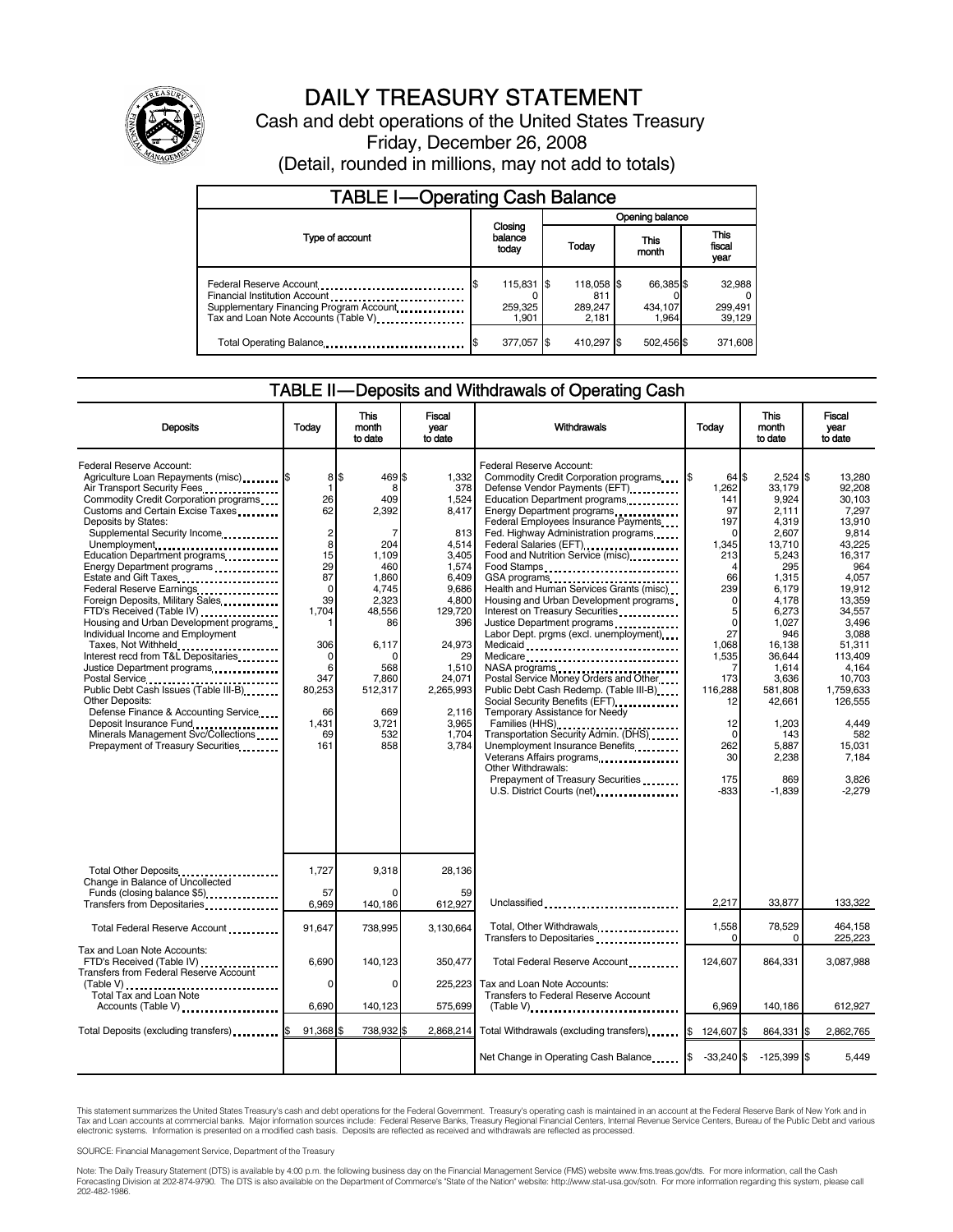

# DAILY TREASURY STATEMENT

Cash and debt operations of the United States Treasury Friday, December 26, 2008

(Detail, rounded in millions, may not add to totals)

| <b>TABLE I-Operating Cash Balance</b>                                                                            |                                                       |  |                                       |  |                               |  |                             |
|------------------------------------------------------------------------------------------------------------------|-------------------------------------------------------|--|---------------------------------------|--|-------------------------------|--|-----------------------------|
|                                                                                                                  | Closing<br>balance<br>This<br>Today<br>today<br>month |  | Opening balance                       |  |                               |  |                             |
| Type of account                                                                                                  |                                                       |  |                                       |  | <b>This</b><br>fiscal<br>year |  |                             |
| Financial Institution Account<br>Supplementary Financing Program Account<br>Tax and Loan Note Accounts (Table V) | 115,831 \$<br>259,325<br>1.901                        |  | 118,058 \$<br>811<br>289,247<br>2.181 |  | 66,385 \$<br>434,107<br>1.964 |  | 32,988<br>299,491<br>39,129 |
| Total Operating Balance                                                                                          | 377,057                                               |  | 410,297 \$                            |  | 502,456 \$                    |  | 371,608                     |

#### TABLE II — Deposits and Withdrawals of Operating Cash

| <b>Deposits</b>                                                                                                                                                                                                                                                                                                                                                                                                                                                                                                                                                                                                                                                                                                                                                                                                                              | Todav                                                                                                                                            | This<br>month<br>to date                                                                                                                                                                | Fiscal<br>year<br>to date                                                                                                                                                                         | Withdrawals                                                                                                                                                                                                                                                                                                                                                                                                                                                                                                                                                                                                                                                                                                                                                                                                                                                                                                           | Today                                                                                                                                                                                                                       | This<br>month<br>to date                                                                                                                                                                                                                               | Fiscal<br>vear<br>to date                                                                                                                                                                                                                                          |
|----------------------------------------------------------------------------------------------------------------------------------------------------------------------------------------------------------------------------------------------------------------------------------------------------------------------------------------------------------------------------------------------------------------------------------------------------------------------------------------------------------------------------------------------------------------------------------------------------------------------------------------------------------------------------------------------------------------------------------------------------------------------------------------------------------------------------------------------|--------------------------------------------------------------------------------------------------------------------------------------------------|-----------------------------------------------------------------------------------------------------------------------------------------------------------------------------------------|---------------------------------------------------------------------------------------------------------------------------------------------------------------------------------------------------|-----------------------------------------------------------------------------------------------------------------------------------------------------------------------------------------------------------------------------------------------------------------------------------------------------------------------------------------------------------------------------------------------------------------------------------------------------------------------------------------------------------------------------------------------------------------------------------------------------------------------------------------------------------------------------------------------------------------------------------------------------------------------------------------------------------------------------------------------------------------------------------------------------------------------|-----------------------------------------------------------------------------------------------------------------------------------------------------------------------------------------------------------------------------|--------------------------------------------------------------------------------------------------------------------------------------------------------------------------------------------------------------------------------------------------------|--------------------------------------------------------------------------------------------------------------------------------------------------------------------------------------------------------------------------------------------------------------------|
| Federal Reserve Account:<br>Agriculture Loan Repayments (misc) <b>\$</b><br>Air Transport Security Fees<br>Commodity Credit Corporation programs<br>Customs and Certain Excise Taxes<br>Deposits by States:<br>Supplemental Security Income<br>Unemployment<br>Education Department programs<br>Energy Department programs<br>Estate and Gift Taxes<br>Federal Reserve Earnings<br>Foreign Deposits, Military Sales<br>FTD's Received (Table IV)<br>Housing and Urban Development programs<br>Individual Income and Employment<br>Taxes, Not Withheld<br>Interest recd from T&L Depositaries<br>Justice Department programs<br>Public Debt Cash Issues (Table III-B)<br><b>Other Deposits:</b><br>Defense Finance & Accounting Service<br>Deposit Insurance Fund<br>Minerals Management Svc/Collections<br>Prepayment of Treasury Securities | 1<br>26<br>62<br>$\sqrt{2}$<br>8<br>15<br>29<br>87<br>$\Omega$<br>39<br>1,704<br>1<br>306<br>0<br>6<br>347<br>80,253<br>66<br>1.431<br>69<br>161 | 8\$<br>469 \$<br>8<br>409<br>2,392<br>7<br>204<br>1,109<br>460<br>1,860<br>4,745<br>2,323<br>48,556<br>86<br>6,117<br>$\Omega$<br>568<br>7.860<br>512,317<br>669<br>3.721<br>532<br>858 | 1.332<br>378<br>1,524<br>8,417<br>813<br>4,514<br>3,405<br>1,574<br>6,409<br>9.686<br>4,800<br>129,720<br>396<br>24,973<br>29<br>1,510<br>24.071<br>2,265,993<br>2,116<br>3.965<br>1,704<br>3,784 | Federal Reserve Account:<br>Commodity Credit Corporation programs<br>Defense Vendor Payments (EFT)<br>Education Department programs<br>Energy Department programs<br>Federal Employees Insurance Payments<br>Fed. Highway Administration programs<br>Federal Salaries (EFT)<br>Food and Nutrition Service (misc)<br>Food Stamps<br>GSA programs<br>Health and Human Services Grants (misc)<br>Housing and Urban Development programs<br>Interest on Treasury Securities <b>Constants</b><br>Justice Department programs<br>Labor Dept. prgms (excl. unemployment)<br>Medicaid<br>Medicare<br>NASA programs<br>Postal Service Money Orders and Other<br>Public Debt Cash Redemp. (Table III-B)<br>Temporary Assistance for Needy<br>Families (HHS)<br>Transportation Security Admin. (DHS)<br>Unemployment Insurance Benefits<br>Other Withdrawals:<br>Prepayment of Treasury Securities<br>U.S. District Courts (net) | l\$<br>64S<br>1,262<br>141<br>97<br>197<br>$\Omega$<br>1.345<br>213<br>$\overline{4}$<br>66<br>239<br>0<br>5<br>$\Omega$<br>27<br>1,068<br>1,535<br>7<br>173<br>116,288<br>12<br>12<br>$\Omega$<br>262<br>30<br>175<br>-833 | $2,524$ \$<br>33,179<br>9,924<br>2,111<br>4,319<br>2,607<br>13,710<br>5,243<br>295<br>1,315<br>6,179<br>4,178<br>6,273<br>1,027<br>946<br>16,138<br>36,644<br>1,614<br>3.636<br>581,808<br>42.661<br>1,203<br>143<br>5,887<br>2,238<br>869<br>$-1,839$ | 13,280<br>92.208<br>30.103<br>7,297<br>13,910<br>9,814<br>43.225<br>16,317<br>964<br>4,057<br>19.912<br>13,359<br>34,557<br>3,496<br>3.088<br>51,311<br>113,409<br>4.164<br>10.703<br>1,759,633<br>126,555<br>4.449<br>582<br>15.031<br>7.184<br>3,826<br>$-2,279$ |
| Total Other Deposits<br>Change in Balance of Uncollected<br>Funds (closing balance \$5)                                                                                                                                                                                                                                                                                                                                                                                                                                                                                                                                                                                                                                                                                                                                                      | 1,727<br>57                                                                                                                                      | 9,318<br>O                                                                                                                                                                              | 28,136<br>59                                                                                                                                                                                      |                                                                                                                                                                                                                                                                                                                                                                                                                                                                                                                                                                                                                                                                                                                                                                                                                                                                                                                       |                                                                                                                                                                                                                             |                                                                                                                                                                                                                                                        |                                                                                                                                                                                                                                                                    |
|                                                                                                                                                                                                                                                                                                                                                                                                                                                                                                                                                                                                                                                                                                                                                                                                                                              | 6.969                                                                                                                                            | 140,186                                                                                                                                                                                 | 612,927                                                                                                                                                                                           | Unclassified                                                                                                                                                                                                                                                                                                                                                                                                                                                                                                                                                                                                                                                                                                                                                                                                                                                                                                          | 2.217                                                                                                                                                                                                                       | 33.877                                                                                                                                                                                                                                                 | 133,322                                                                                                                                                                                                                                                            |
| Total Federal Reserve Account                                                                                                                                                                                                                                                                                                                                                                                                                                                                                                                                                                                                                                                                                                                                                                                                                | 91,647                                                                                                                                           | 738,995                                                                                                                                                                                 | 3.130.664                                                                                                                                                                                         | Total, Other Withdrawals<br>Transfers to Depositaries                                                                                                                                                                                                                                                                                                                                                                                                                                                                                                                                                                                                                                                                                                                                                                                                                                                                 | 1,558<br>0                                                                                                                                                                                                                  | 78,529<br>0                                                                                                                                                                                                                                            | 464,158<br>225,223                                                                                                                                                                                                                                                 |
| Tax and Loan Note Accounts:<br>FTD's Received (Table IV)<br><b>Transfers from Federal Reserve Account</b>                                                                                                                                                                                                                                                                                                                                                                                                                                                                                                                                                                                                                                                                                                                                    | 6,690<br>0                                                                                                                                       | 140,123<br>0                                                                                                                                                                            | 350,477<br>225.223                                                                                                                                                                                | Total Federal Reserve Account<br>Tax and Loan Note Accounts:                                                                                                                                                                                                                                                                                                                                                                                                                                                                                                                                                                                                                                                                                                                                                                                                                                                          | 124,607                                                                                                                                                                                                                     | 864,331                                                                                                                                                                                                                                                | 3,087,988                                                                                                                                                                                                                                                          |
| $(Table V)$<br>Total Tax and Loan Note                                                                                                                                                                                                                                                                                                                                                                                                                                                                                                                                                                                                                                                                                                                                                                                                       | 6,690                                                                                                                                            |                                                                                                                                                                                         |                                                                                                                                                                                                   | <b>Transfers to Federal Reserve Account</b>                                                                                                                                                                                                                                                                                                                                                                                                                                                                                                                                                                                                                                                                                                                                                                                                                                                                           | 6,969                                                                                                                                                                                                                       |                                                                                                                                                                                                                                                        |                                                                                                                                                                                                                                                                    |
| Accounts (Table V)                                                                                                                                                                                                                                                                                                                                                                                                                                                                                                                                                                                                                                                                                                                                                                                                                           |                                                                                                                                                  | 140,123                                                                                                                                                                                 | 575,699                                                                                                                                                                                           | $(Table V)$ ,                                                                                                                                                                                                                                                                                                                                                                                                                                                                                                                                                                                                                                                                                                                                                                                                                                                                                                         |                                                                                                                                                                                                                             | 140,186                                                                                                                                                                                                                                                | 612,927                                                                                                                                                                                                                                                            |
| Total Deposits (excluding transfers)                                                                                                                                                                                                                                                                                                                                                                                                                                                                                                                                                                                                                                                                                                                                                                                                         | 91.368 \$                                                                                                                                        | 738,932 \$                                                                                                                                                                              | 2,868,214                                                                                                                                                                                         | Total Withdrawals (excluding transfers)                                                                                                                                                                                                                                                                                                                                                                                                                                                                                                                                                                                                                                                                                                                                                                                                                                                                               | \$<br>124,607 \$                                                                                                                                                                                                            | 864,331                                                                                                                                                                                                                                                | 2,862,765                                                                                                                                                                                                                                                          |
|                                                                                                                                                                                                                                                                                                                                                                                                                                                                                                                                                                                                                                                                                                                                                                                                                                              |                                                                                                                                                  |                                                                                                                                                                                         |                                                                                                                                                                                                   | Net Change in Operating Cash Balance                                                                                                                                                                                                                                                                                                                                                                                                                                                                                                                                                                                                                                                                                                                                                                                                                                                                                  | $-33,240$ \$                                                                                                                                                                                                                | $-125,399$ \$                                                                                                                                                                                                                                          | 5,449                                                                                                                                                                                                                                                              |

This statement summarizes the United States Treasury's cash and debt operations for the Federal Government. Treasury's operating cash is maintained in an account at the Federal Reserve Bank of New York and in<br>Tax and Loan

SOURCE: Financial Management Service, Department of the Treasury

Note: The Daily Treasury Statement (DTS) is available by 4:00 p.m. the following business day on the Financial Management Service (FMS) website www.fms.treas.gov/dts. For more information, call the Cash<br>Forecasting Divisio eas.gov/dts. F<br>For more infor